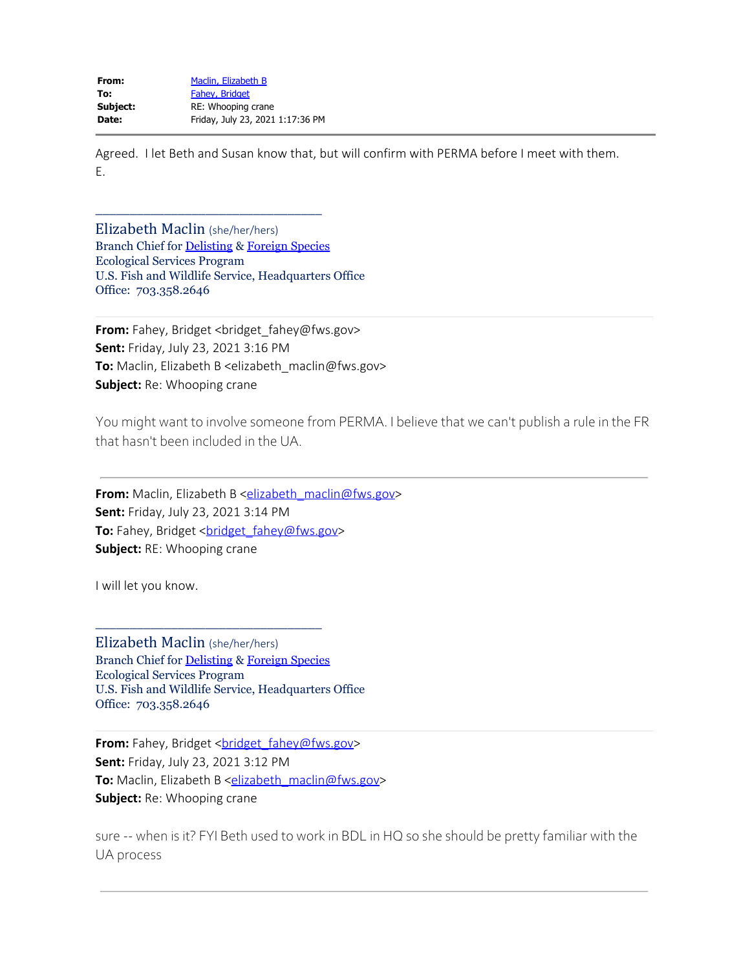| From:    | Maclin, Elizabeth B              |
|----------|----------------------------------|
| To:      | Fahev, Bridget                   |
| Subject: | RE: Whooping crane               |
| Date:    | Friday, July 23, 2021 1:17:36 PM |
|          |                                  |

\_\_\_\_\_\_\_\_\_\_\_\_\_\_\_\_\_\_\_\_\_\_\_\_\_\_\_\_\_\_\_\_\_

Agreed. I let Beth and Susan know that, but will confirm with PERMA before I meet with them. E.

Elizabeth Maclin (she/her/hers) Branch Chief for [Delisting](https://www.fws.gov/endangered/what-we-do/downlisting-delisting-workplan.html) & [Foreign Species](https://www.fws.gov/endangered/what-we-do/foreign-species.html) Ecological Services Program U.S. Fish and Wildlife Service, Headquarters Office Office: 703.358.2646

From: Fahey, Bridget <bridget\_fahey@fws.gov> **Sent:** Friday, July 23, 2021 3:16 PM **To:** Maclin, Elizabeth B <elizabeth\_maclin@fws.gov> **Subject:** Re: Whooping crane

You might want to involve someone from PERMA. I believe that we can't publish a rule in the FR that hasn't been included in the UA.

**From:** Maclin, Elizabeth B [<elizabeth\\_maclin@fws.gov](mailto:elizabeth_maclin@fws.gov)> **Sent:** Friday, July 23, 2021 3:14 PM To: Fahey, Bridget [<bridget\\_fahey@fws.gov](mailto:bridget_fahey@fws.gov)> **Subject:** RE: Whooping crane

I will let you know.

Elizabeth Maclin (she/her/hers) Branch Chief for [Delisting](https://gcc02.safelinks.protection.outlook.com/?url=https%3A%2F%2Fwww.fws.gov%2Fendangered%2Fwhat-we-do%2Fdownlisting-delisting-workplan.html&data=04%7C01%7Celizabeth_maclin%40fws.gov%7C52b4e625dc764668f4c908d94e0e5070%7C0693b5ba4b184d7b9341f32f400a5494%7C0%7C0%7C637626645672492556%7CUnknown%7CTWFpbGZsb3d8eyJWIjoiMC4wLjAwMDAiLCJQIjoiV2luMzIiLCJBTiI6Ik1haWwiLCJXVCI6Mn0%3D%7C1000&sdata=w5CnOKJwfEQ%2B6mr3KH2V1RyY2l8wzO8PCsx98ncziog%3D&reserved=0) & [Foreign Species](https://gcc02.safelinks.protection.outlook.com/?url=https%3A%2F%2Fwww.fws.gov%2Fendangered%2Fwhat-we-do%2Fforeign-species.html&data=04%7C01%7Celizabeth_maclin%40fws.gov%7C52b4e625dc764668f4c908d94e0e5070%7C0693b5ba4b184d7b9341f32f400a5494%7C0%7C0%7C637626645672502502%7CUnknown%7CTWFpbGZsb3d8eyJWIjoiMC4wLjAwMDAiLCJQIjoiV2luMzIiLCJBTiI6Ik1haWwiLCJXVCI6Mn0%3D%7C1000&sdata=vYLHH%2Fyj3dGdPhlGC6gWn2gxoBFAa2y3%2F3amCQtxvEs%3D&reserved=0) Ecological Services Program U.S. Fish and Wildlife Service, Headquarters Office Office: 703.358.2646

\_\_\_\_\_\_\_\_\_\_\_\_\_\_\_\_\_\_\_\_\_\_\_\_\_\_\_\_\_\_\_\_\_

From: Fahey, Bridget <br />
chidget\_fahey@fws.gov> **Sent:** Friday, July 23, 2021 3:12 PM **To:** Maclin, Elizabeth B [<elizabeth\\_maclin@fws.gov](mailto:elizabeth_maclin@fws.gov)> **Subject:** Re: Whooping crane

sure -- when is it? FYI Beth used to work in BDL in HQ so she should be pretty familiar with the UA process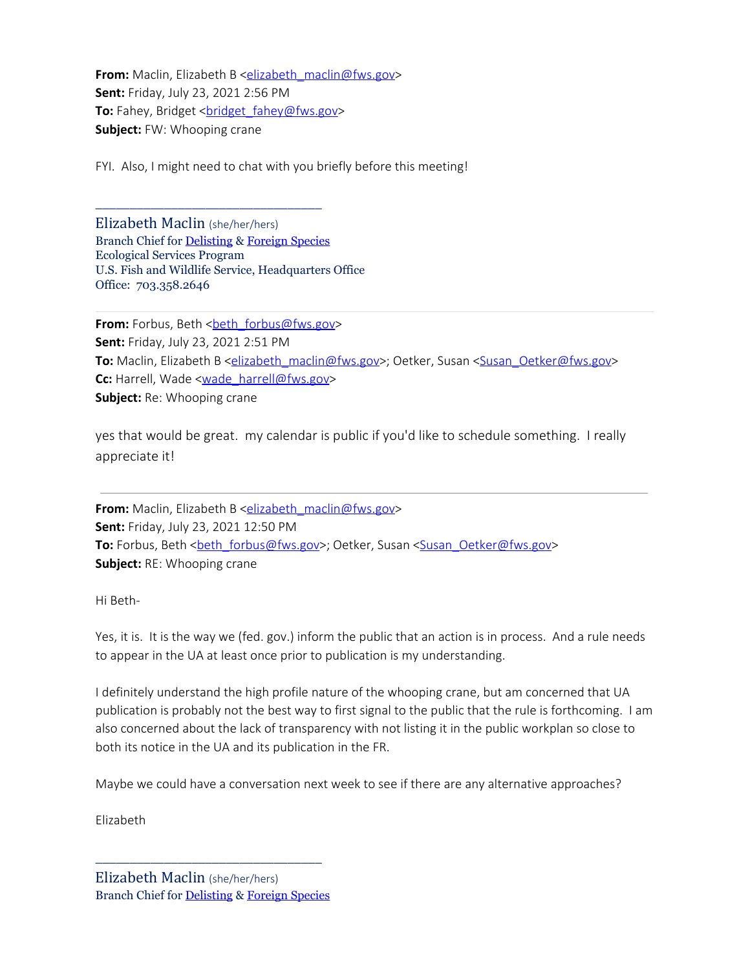**From:** Maclin, Elizabeth B [<elizabeth\\_maclin@fws.gov](mailto:elizabeth_maclin@fws.gov)> **Sent:** Friday, July 23, 2021 2:56 PM **To:** Fahey, Bridget <**bridget** fahey@fws.gov> **Subject:** FW: Whooping crane

FYI. Also, I might need to chat with you briefly before this meeting!

Elizabeth Maclin (she/her/hers) Branch Chief for [Delisting](https://gcc02.safelinks.protection.outlook.com/?url=https%3A%2F%2Fwww.fws.gov%2Fendangered%2Fwhat-we-do%2Fdownlisting-delisting-workplan.html&data=04%7C01%7Celizabeth_maclin%40fws.gov%7C52b4e625dc764668f4c908d94e0e5070%7C0693b5ba4b184d7b9341f32f400a5494%7C0%7C0%7C637626645672502502%7CUnknown%7CTWFpbGZsb3d8eyJWIjoiMC4wLjAwMDAiLCJQIjoiV2luMzIiLCJBTiI6Ik1haWwiLCJXVCI6Mn0%3D%7C1000&sdata=rZ6qgKyUJJFnojdoUxJoIxY1qClkYc4i4paoOvAUhXI%3D&reserved=0) & [Foreign Species](https://gcc02.safelinks.protection.outlook.com/?url=https%3A%2F%2Fwww.fws.gov%2Fendangered%2Fwhat-we-do%2Fforeign-species.html&data=04%7C01%7Celizabeth_maclin%40fws.gov%7C52b4e625dc764668f4c908d94e0e5070%7C0693b5ba4b184d7b9341f32f400a5494%7C0%7C0%7C637626645672512478%7CUnknown%7CTWFpbGZsb3d8eyJWIjoiMC4wLjAwMDAiLCJQIjoiV2luMzIiLCJBTiI6Ik1haWwiLCJXVCI6Mn0%3D%7C1000&sdata=WFTfhb3EBz%2ByeCpaJzzUu3Q2e5vsbYOuoEuqqG2PpLU%3D&reserved=0) Ecological Services Program U.S. Fish and Wildlife Service, Headquarters Office Office: 703.358.2646

\_\_\_\_\_\_\_\_\_\_\_\_\_\_\_\_\_\_\_\_\_\_\_\_\_\_\_\_\_\_\_\_\_

**From:** Forbus, Beth [<beth\\_forbus@fws.gov](mailto:beth_forbus@fws.gov)> **Sent:** Friday, July 23, 2021 2:51 PM **To:** Maclin, Elizabeth B [<elizabeth\\_maclin@fws.gov](mailto:elizabeth_maclin@fws.gov)>; Oetker, Susan <[Susan\\_Oetker@fws.gov](mailto:Susan_Oetker@fws.gov)> Cc: Harrell, Wade [<wade\\_harrell@fws.gov](mailto:wade_harrell@fws.gov)> **Subject:** Re: Whooping crane

yes that would be great. my calendar is public if you'd like to schedule something. I really appreciate it!

**From:** Maclin, Elizabeth B [<elizabeth\\_maclin@fws.gov](mailto:elizabeth_maclin@fws.gov)> **Sent:** Friday, July 23, 2021 12:50 PM To: Forbus, Beth <**[beth\\_forbus@fws.gov>](mailto:beth_forbus@fws.gov)**; Oetker, Susan <[Susan\\_Oetker@fws.gov](mailto:Susan_Oetker@fws.gov)> **Subject:** RE: Whooping crane

Hi Beth-

Yes, it is. It is the way we (fed. gov.) inform the public that an action is in process. And a rule needs to appear in the UA at least once prior to publication is my understanding.

I definitely understand the high profile nature of the whooping crane, but am concerned that UA publication is probably not the best way to first signal to the public that the rule is forthcoming. I am also concerned about the lack of transparency with not listing it in the public workplan so close to both its notice in the UA and its publication in the FR.

Maybe we could have a conversation next week to see if there are any alternative approaches?

Elizabeth

\_\_\_\_\_\_\_\_\_\_\_\_\_\_\_\_\_\_\_\_\_\_\_\_\_\_\_\_\_\_\_\_\_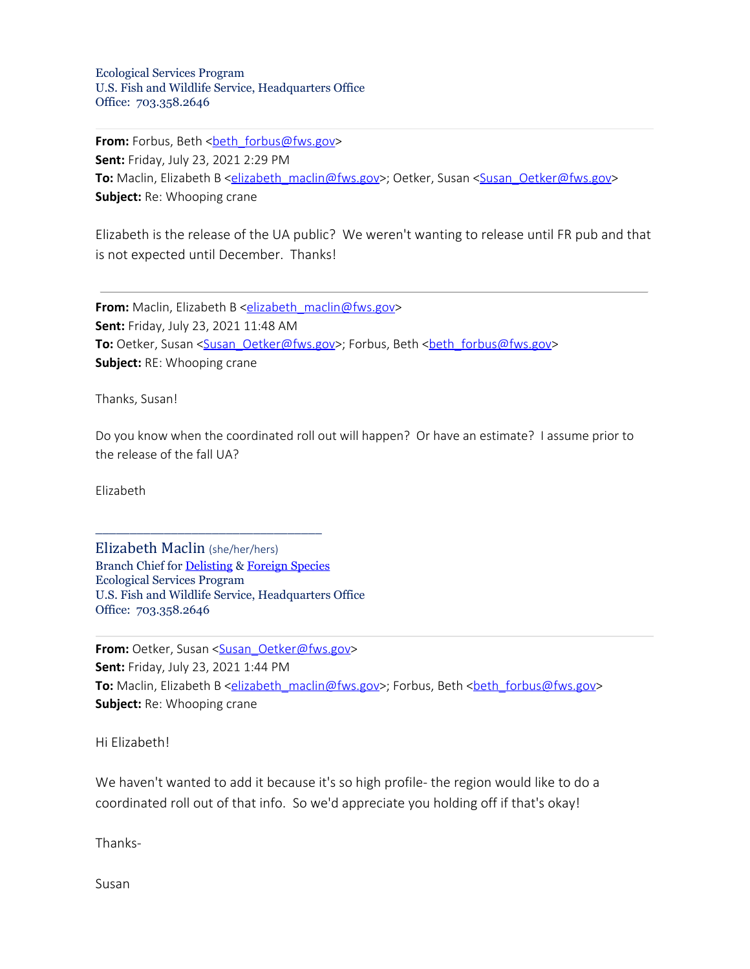Ecological Services Program U.S. Fish and Wildlife Service, Headquarters Office Office: 703.358.2646

**From:** Forbus, Beth [<beth\\_forbus@fws.gov](mailto:beth_forbus@fws.gov)> **Sent:** Friday, July 23, 2021 2:29 PM To: Maclin, Elizabeth B [<elizabeth\\_maclin@fws.gov](mailto:elizabeth_maclin@fws.gov)>; Oetker, Susan <[Susan\\_Oetker@fws.gov](mailto:Susan_Oetker@fws.gov)> **Subject:** Re: Whooping crane

Elizabeth is the release of the UA public? We weren't wanting to release until FR pub and that is not expected until December. Thanks!

**From:** Maclin, Elizabeth B <**elizabeth\_maclin@fws.gov> Sent:** Friday, July 23, 2021 11:48 AM **To:** Oetker, Susan [<Susan\\_Oetker@fws.gov](mailto:Susan_Oetker@fws.gov)>; Forbus, Beth <br/>sharehormorrows@fws.gov> **Subject:** RE: Whooping crane

Thanks, Susan!

Do you know when the coordinated roll out will happen? Or have an estimate? I assume prior to the release of the fall UA?

Elizabeth

Elizabeth Maclin (she/her/hers) Branch Chief for [Delisting](https://gcc02.safelinks.protection.outlook.com/?url=https%3A%2F%2Fwww.fws.gov%2Fendangered%2Fwhat-we-do%2Fdownlisting-delisting-workplan.html&data=04%7C01%7Celizabeth_maclin%40fws.gov%7C52b4e625dc764668f4c908d94e0e5070%7C0693b5ba4b184d7b9341f32f400a5494%7C0%7C0%7C637626645672522425%7CUnknown%7CTWFpbGZsb3d8eyJWIjoiMC4wLjAwMDAiLCJQIjoiV2luMzIiLCJBTiI6Ik1haWwiLCJXVCI6Mn0%3D%7C1000&sdata=FYKUXgqY5a8TvlLxXgXgfSbFgQ13R%2FrUdcs2tMZ%2F1RE%3D&reserved=0) & [Foreign Species](https://gcc02.safelinks.protection.outlook.com/?url=https%3A%2F%2Fwww.fws.gov%2Fendangered%2Fwhat-we-do%2Fforeign-species.html&data=04%7C01%7Celizabeth_maclin%40fws.gov%7C52b4e625dc764668f4c908d94e0e5070%7C0693b5ba4b184d7b9341f32f400a5494%7C0%7C0%7C637626645672532379%7CUnknown%7CTWFpbGZsb3d8eyJWIjoiMC4wLjAwMDAiLCJQIjoiV2luMzIiLCJBTiI6Ik1haWwiLCJXVCI6Mn0%3D%7C1000&sdata=4MXc1oErX5kOYUmqQvRYaw2RcaxPf2LswYIqkOEmxvA%3D&reserved=0) Ecological Services Program U.S. Fish and Wildlife Service, Headquarters Office Office: 703.358.2646

\_\_\_\_\_\_\_\_\_\_\_\_\_\_\_\_\_\_\_\_\_\_\_\_\_\_\_\_\_\_\_\_\_

**From:** Oetker, Susan <[Susan\\_Oetker@fws.gov](mailto:Susan_Oetker@fws.gov)> **Sent:** Friday, July 23, 2021 1:44 PM To: Maclin, Elizabeth B [<elizabeth\\_maclin@fws.gov](mailto:elizabeth_maclin@fws.gov)>; Forbus, Beth <br />heth\_forbus@fws.gov> **Subject:** Re: Whooping crane

Hi Elizabeth!

We haven't wanted to add it because it's so high profile- the region would like to do a coordinated roll out of that info. So we'd appreciate you holding off if that's okay!

Thanks-

Susan